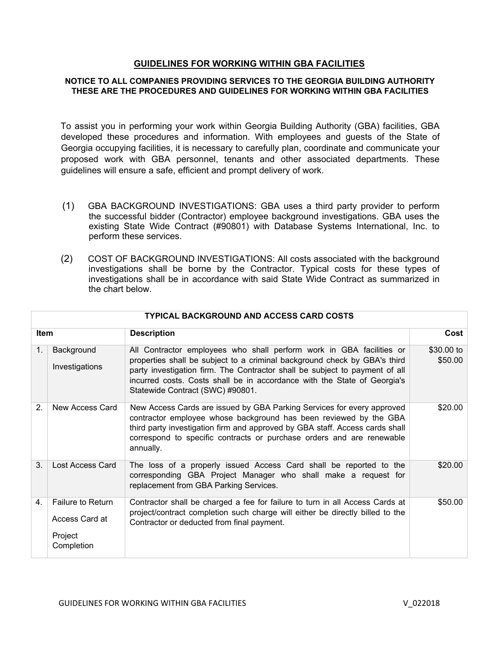## **GUIDELINES FOR WORKING WITHIN GBA FACILITIES**

## **NOTICE TO ALL COMPANIES PROVIDING SERVICES TO THE GEORGIA BUILDING AUTHORITY THESE ARE THE PROCEDURES AND GUIDELINES FOR WORKING WITHIN GBA FACILITIES**

To assist you in performing your work within Georgia Building Authority (GBA) facilities, GBA developed these procedures and information. With employees and guests of the State of Georgia occupying facilities, it is necessary to carefully plan, coordinate and communicate your proposed work with GBA personnel, tenants and other associated departments. These guidelines will ensure a safe, efficient and prompt delivery of work.

- (1) GBA BACKGROUND INVESTIGATIONS: GBA uses a third party provider to perform the successful bidder (Contractor) employee background investigations. GBA uses the existing State Wide Contract (#90801) with Database Systems International, Inc. to perform these services.
- (2) COST OF BACKGROUND INVESTIGATIONS: All costs associated with the background investigations shall be borne by the Contractor. Typical costs for these types of investigations shall be in accordance with said State Wide Contract as summarized in the chart below.

| TYPICAL BACKGROUND AND ACCESS CARD COSTS                            |                                                                                                                                                                                                                                                                                                                                                  |                       |  |
|---------------------------------------------------------------------|--------------------------------------------------------------------------------------------------------------------------------------------------------------------------------------------------------------------------------------------------------------------------------------------------------------------------------------------------|-----------------------|--|
|                                                                     | <b>Description</b>                                                                                                                                                                                                                                                                                                                               | Cost                  |  |
| Background<br>Investigations                                        | All Contractor employees who shall perform work in GBA facilities or<br>properties shall be subject to a criminal background check by GBA's third<br>party investigation firm. The Contractor shall be subject to payment of all<br>incurred costs. Costs shall be in accordance with the State of Georgia's<br>Statewide Contract (SWC) #90801. | \$30.00 to<br>\$50.00 |  |
| New Access Card                                                     | New Access Cards are issued by GBA Parking Services for every approved<br>contractor employee whose background has been reviewed by the GBA<br>third party investigation firm and approved by GBA staff. Access cards shall<br>correspond to specific contracts or purchase orders and are renewable<br>annually.                                | \$20.00               |  |
| Lost Access Card                                                    | The loss of a properly issued Access Card shall be reported to the<br>corresponding GBA Project Manager who shall make a request for<br>replacement from GBA Parking Services.                                                                                                                                                                   | \$20.00               |  |
| <b>Failure to Return</b><br>Access Card at<br>Project<br>Completion | Contractor shall be charged a fee for failure to turn in all Access Cards at<br>project/contract completion such charge will either be directly billed to the<br>Contractor or deducted from final payment.                                                                                                                                      | \$50.00               |  |
|                                                                     | <b>Item</b>                                                                                                                                                                                                                                                                                                                                      |                       |  |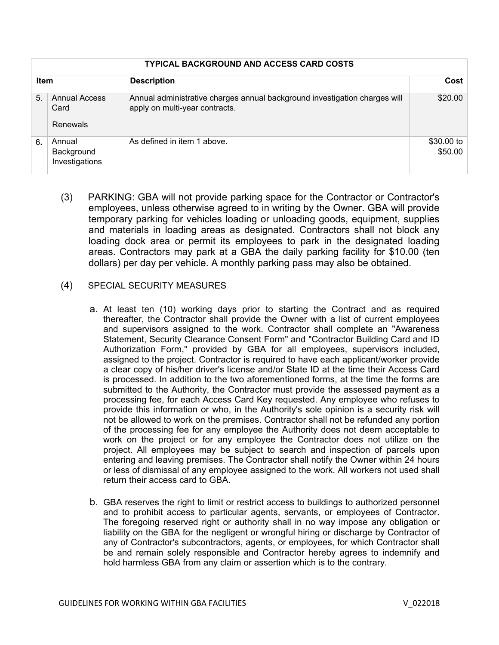|             | <b>TYPICAL BACKGROUND AND ACCESS CARD COSTS</b> |                                                                                                              |                       |  |
|-------------|-------------------------------------------------|--------------------------------------------------------------------------------------------------------------|-----------------------|--|
| <b>Item</b> |                                                 | <b>Description</b>                                                                                           | Cost                  |  |
| 5.          | <b>Annual Access</b><br>Card<br>Renewals        | Annual administrative charges annual background investigation charges will<br>apply on multi-year contracts. | \$20.00               |  |
| 6.          | Annual<br>Background<br>Investigations          | As defined in item 1 above.                                                                                  | \$30.00 to<br>\$50.00 |  |

(3) PARKING: GBA will not provide parking space for the Contractor or Contractor's employees, unless otherwise agreed to in writing by the Owner. GBA will provide temporary parking for vehicles loading or unloading goods, equipment, supplies and materials in loading areas as designated. Contractors shall not block any loading dock area or permit its employees to park in the designated loading areas. Contractors may park at a GBA the daily parking facility for \$10.00 (ten dollars) per day per vehicle. A monthly parking pass may also be obtained.

## (4) SPECIAL SECURITY MEASURES

- a. At least ten (10) working days prior to starting the Contract and as required thereafter, the Contractor shall provide the Owner with a list of current employees and supervisors assigned to the work. Contractor shall complete an "Awareness Statement, Security Clearance Consent Form" and "Contractor Building Card and ID Authorization Form," provided by GBA for all employees, supervisors included, assigned to the project. Contractor is required to have each applicant/worker provide a clear copy of his/her driver's license and/or State ID at the time their Access Card is processed. In addition to the two aforementioned forms, at the time the forms are submitted to the Authority, the Contractor must provide the assessed payment as a processing fee, for each Access Card Key requested. Any employee who refuses to provide this information or who, in the Authority's sole opinion is a security risk will not be allowed to work on the premises. Contractor shall not be refunded any portion of the processing fee for any employee the Authority does not deem acceptable to work on the project or for any employee the Contractor does not utilize on the project. All employees may be subject to search and inspection of parcels upon entering and leaving premises. The Contractor shall notify the Owner within 24 hours or less of dismissal of any employee assigned to the work. All workers not used shall return their access card to GBA.
- b. GBA reserves the right to limit or restrict access to buildings to authorized personnel and to prohibit access to particular agents, servants, or employees of Contractor. The foregoing reserved right or authority shall in no way impose any obligation or liability on the GBA for the negligent or wrongful hiring or discharge by Contractor of any of Contractor's subcontractors, agents, or employees, for which Contractor shall be and remain solely responsible and Contractor hereby agrees to indemnify and hold harmless GBA from any claim or assertion which is to the contrary.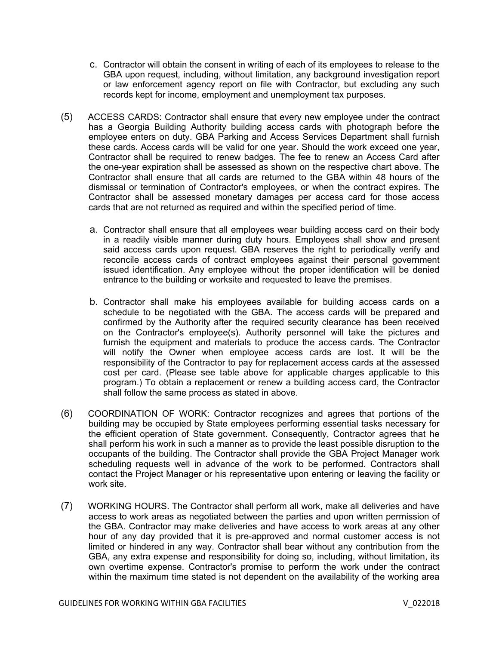- c. Contractor will obtain the consent in writing of each of its employees to release to the GBA upon request, including, without limitation, any background investigation report or law enforcement agency report on file with Contractor, but excluding any such records kept for income, employment and unemployment tax purposes.
- (5) ACCESS CARDS: Contractor shall ensure that every new employee under the contract has a Georgia Building Authority building access cards with photograph before the employee enters on duty. GBA Parking and Access Services Department shall furnish these cards. Access cards will be valid for one year. Should the work exceed one year, Contractor shall be required to renew badges. The fee to renew an Access Card after the one-year expiration shall be assessed as shown on the respective chart above. The Contractor shall ensure that all cards are returned to the GBA within 48 hours of the dismissal or termination of Contractor's employees, or when the contract expires. The Contractor shall be assessed monetary damages per access card for those access cards that are not returned as required and within the specified period of time.
	- a. Contractor shall ensure that all employees wear building access card on their body in a readily visible manner during duty hours. Employees shall show and present said access cards upon request. GBA reserves the right to periodically verify and reconcile access cards of contract employees against their personal government issued identification. Any employee without the proper identification will be denied entrance to the building or worksite and requested to leave the premises.
	- b. Contractor shall make his employees available for building access cards on a schedule to be negotiated with the GBA. The access cards will be prepared and confirmed by the Authority after the required security clearance has been received on the Contractor's employee(s). Authority personnel will take the pictures and furnish the equipment and materials to produce the access cards. The Contractor will notify the Owner when employee access cards are lost. It will be the responsibility of the Contractor to pay for replacement access cards at the assessed cost per card. (Please see table above for applicable charges applicable to this program.) To obtain a replacement or renew a building access card, the Contractor shall follow the same process as stated in above.
- (6) COORDINATION OF WORK: Contractor recognizes and agrees that portions of the building may be occupied by State employees performing essential tasks necessary for the efficient operation of State government. Consequently, Contractor agrees that he shall perform his work in such a manner as to provide the least possible disruption to the occupants of the building. The Contractor shall provide the GBA Project Manager work scheduling requests well in advance of the work to be performed. Contractors shall contact the Project Manager or his representative upon entering or leaving the facility or work site.
- (7) WORKING HOURS. The Contractor shall perform all work, make all deliveries and have access to work areas as negotiated between the parties and upon written permission of the GBA. Contractor may make deliveries and have access to work areas at any other hour of any day provided that it is pre-approved and normal customer access is not limited or hindered in any way. Contractor shall bear without any contribution from the GBA, any extra expense and responsibility for doing so, including, without limitation, its own overtime expense. Contractor's promise to perform the work under the contract within the maximum time stated is not dependent on the availability of the working area